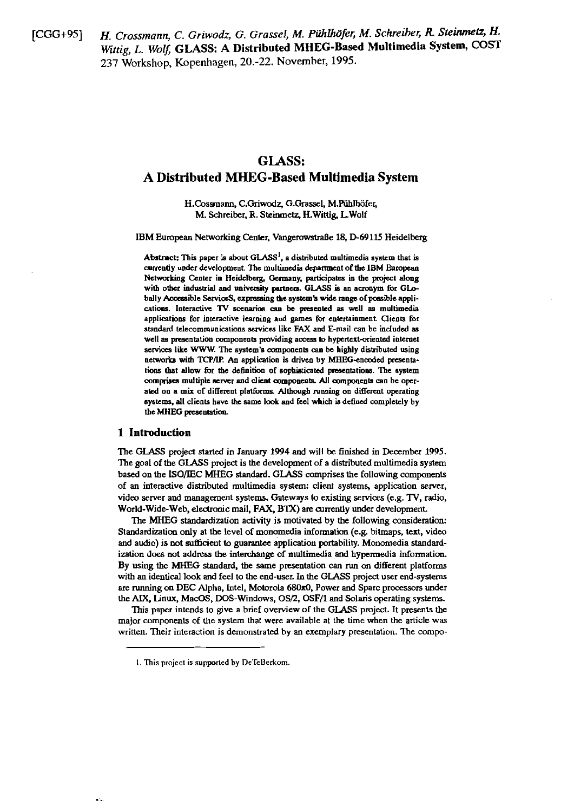$[CGG+95]$ 

H. Crossmann, C. Griwodz, G. Grassel, M. Pühlhöfer, M. Schreiber, R. Steinmetz, H. Wittig, L. Wolf, GLASS: A Distributed MHEG-Based Multimedia System, COST 237 Workshop, Kopenhagen, 20.-22. November, 1995.

# **GLASS:** A Distributed MHEG-Based Multimedia System

H.Cossmann, C.Griwodz, G.Grassel, M.Pühlhöfer, M. Schreiber, R. Steinmetz, H. Wittig, L. Wolf

IBM European Networking Center, Vangerowstraße 18, D-69115 Heidelberg

Abstract: This paper is about  $GLASS<sup>1</sup>$ , a distributed multimedia system that is currently under development. The multimedia department of the IBM European Networking Center in Heidelberg, Germany, participates in the project along with other industrial and university partners. GLASS is an acronym for GLObally Accessible ServiceS, expressing the system's wide range of possible applications. Interactive TV scenarios can be presented as well as multimedia applications for interactive learning and games for entertainment. Clients for standard telecommunications services like FAX and E-mail can be included as well as presentation components providing access to hypertext-oriented internet services like WWW. The system's components can be highly distributed using networks with TCP/IP. An application is driven by MHEG-encoded presentations that allow for the definition of sophisticated presentations. The system comprises multiple server and client components. All components can be operated on a mix of different platforms. Although running on different operating systems, all clients have the same look and feel which is defined completely by the MHEG presentation.

# 1 Introduction

The GLASS project started in January 1994 and will be finished in December 1995. The goal of the GLASS project is the development of a distributed multimedia system based on the ISO/IEC MHEG standard. GLASS comprises the following components of an interactive distributed multimedia system: client systems, application server, video server and management systems. Gateways to existing services (e.g. TV, radio, World-Wide-Web, electronic mail, FAX, BTX) are currently under development.

The MHEG standardization activity is motivated by the following consideration: Standardization only at the level of monomedia information (e.g. bitmaps, text, video and audio) is not sufficient to guarantee application portability. Monomedia standardization does not address the interchange of multimedia and hypermedia information. By using the MHEG standard, the same presentation can run on different platforms with an identical look and feel to the end-user. In the GLASS project user end-systems are running on DEC Alpha, Intel, Motorola 680x0, Power and Sparc processors under the AIX, Linux, MacOS, DOS-Windows, OS/2, OSF/1 and Solaris operating systems.

This paper intends to give a brief overview of the GLASS project. It presents the major components of the system that were available at the time when the article was written. Their interaction is demonstrated by an exemplary presentation. The compo-

<sup>1.</sup> This project is supported by DeTeBerkom.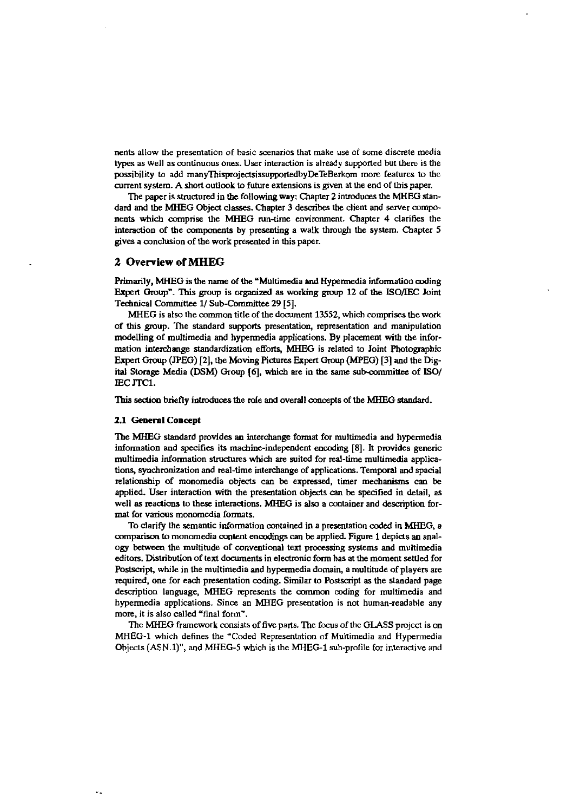nents allow the presentation of basic scenarios that make use of some discrete media types as well as continuous ones. User interaction is already supported but there is the possibility to add manyThisprojectsissupportedbyDeTeBerkom more features to the current system. A short outlook to future extensions is given at the end of this paper.

The paper is structured in the following way: Chapter 2 introduces the MHEG standard and the MHEG Object classes. Chapter 3 describes the client and server components which comprise the MHEG run-time environment. Chapter 4 clarifies the interaction of the components by presenting a walk through the system. Chapter 5 gives a conclusion of the work presented in this paper.

# **2 Overview of MHEG**

Primarily, MHEG is the name of the "Multimedia and Hypermedia information coding Expert **Oroup".** 'Ihis group is organizsd **as** working **group** 12 of **tbe** iSO/IEC Joint Technical Committee 1/ Sub-Committee 29 [5].

MHEG is also the common title of the document 13552, which comprises the work of this group. The standard supports presentation, representation and manipulation modelling of multimedia and hypermedia applications. By placement with the information interchange standardization efforts, MHEG is related to Joint Photographic Exped Group **(JPEG) [2].** the Moving **Piciures** Expert Group WEG) [3] and the Digital Storage Media (DSM) Group [6], which are in the same sub-committee of ISO/ **IEC JTC1.** 

This section briefly introduces the role and overall concepts of the MHEG standard.

#### **2.1 General Conrept**

The MHEG standard provides an interchange format for multimedia **and** hypermedia information and specifies its machine-independent encoding [8]. It provides generic multimedia information siruciures **whidi are** suited for real-time multimedia applications, synchronization and real-time interchange of applications. Temporal and spacial relationship of monomedia objects **can** be expressed, timer mechanisms **can** be applied. User interadion mth the presentation objects can be specified in detail, as well as reactions to these interactions. MHEG is also a container and description format for various monomedia formats.

To clarify the semantic information contained in a presentation coded in MHEG, a comparison to monomedia content encodings can be applied. Figure 1 depicts an analogy between the multitude of conventional text processing systems and multimedia editors. Distribution of text documents in electronic form has at the moment settled for Postscript, while in the multimedia and hypermedia domain, a multitude of players are required, one for **each** presentation coding. Similar to Postsciipt **as** the standard page description language, MHEG represents the common coding for multimedia and hypermedia applications. Since an MHEG presentation is not human-readahle any more, it is also called "final form".

The MHEG framework consists of five parts. The focus of the GLASS project is on MHEG-1 which defines the "Coded Representation of Multimedia and Hypermedia Objects  $(ASN.1)$ ", and MHEG-5 which is the MHEG-1 suh-profile for interactive and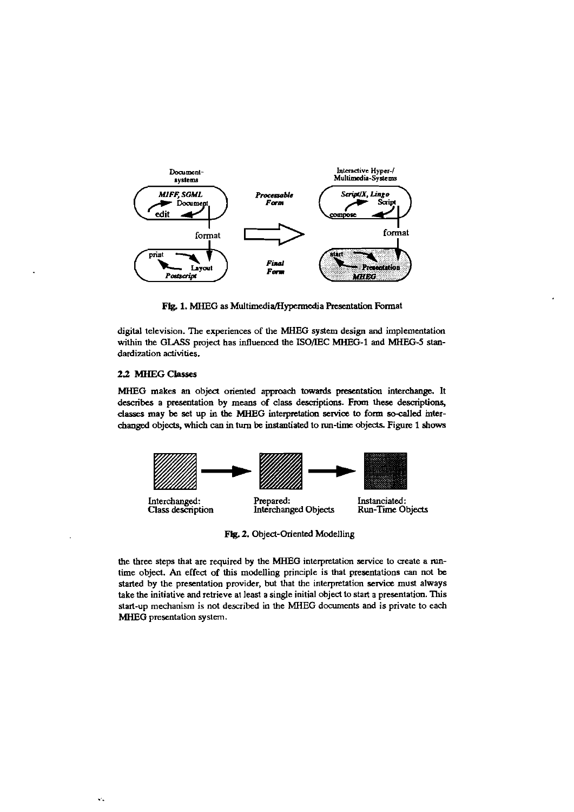

Fig. 1. MHEG as Multimedia/Hypermedia Presentation Format

digital television. The experiences of the MHEG system design and implementation within the GLASS project has influenced the ISO/IEC MHEG-1 and MHEG-5 standardization activities.

## 2.2 MHEG Classes

MHEG makes an object oriented approach towards presentation interchange. It describes a presentation by means of class descriptions. From these descriptions, classes may be set up in the MHEG interpretation service to form so-called interchanged objects, which can in turn be instantiated to run-time objects. Figure 1 shows



Fig. 2. Object-Oriented Modelling

the three steps that are required by the MHEG interpretation service to create a runtime object. An effect of this modelling principle is that presentations can not be started by the presentation provider, but that the interpretation service must always take the initiative and retrieve at least a single initial object to start a presentation. This start-up mechanism is not described in the MHEG documents and is private to each MHEG presentation system.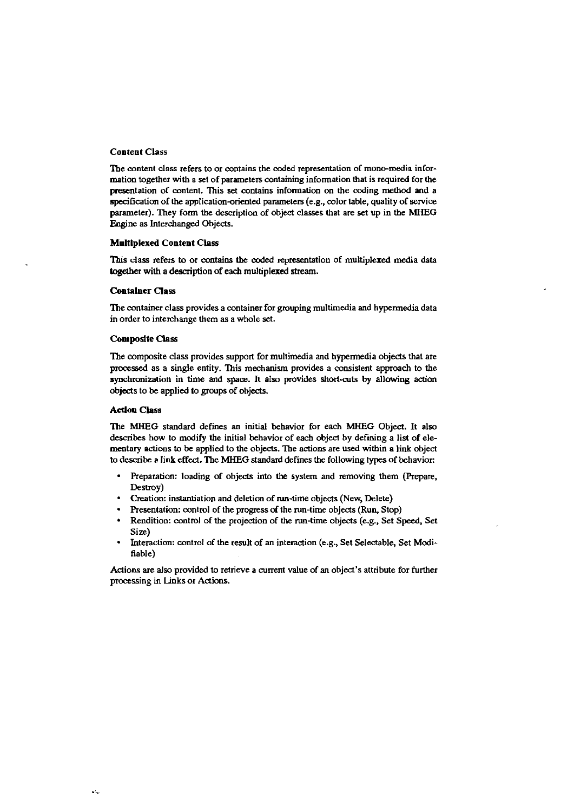#### **Content Class**

The content class refers to or contains the coded representation of mono-media information together with a set of parameters containing information that is required for the presentation of content. This set contains information on the coding method and a specification of the application-oriented parameters (e.g., color table, quality of service parameter). They form the description of object classes that are set up in the MHEG Engine as Interchanged Objects.

#### **Multiplexed Content Class**

This class refers to or contains the coded representation of multiplexed media data together with a description of each multiplexed stream.

#### **Container Class**

The container class provides a container for grouping multimedia and hypermedia data in order to interchange them as a whole set.

#### **Composite Class**

The composite class provides support for multimedia and hypermedia objects that are processed as a single entity. This mechanism provides a consistent approach to the synchronization in time and space. It also provides short-cuts by allowing action objects to be applied to groups of objects.

#### **Action Class**

The MHEG standard defines an initial behavior for each MHEG Object. It also describes how to modify the initial behavior of each object by defining a list of elementary actions to be applied to the objects. The actions are used within a link object to describe a link effect. The MHEG standard defines the following types of behavior:

- Preparation: loading of objects into the system and removing them (Prepare, Destroy)
- Creation: instantiation and deletion of run-time objects (New, Delete)  $\bullet$
- Presentation: control of the progress of the run-time objects (Run, Stop)
- Rendition: control of the projection of the run-time objects (e.g., Set Speed, Set Size)
- Interaction: control of the result of an interaction (e.g., Set Selectable, Set Modifiable)

Actions are also provided to retrieve a current value of an object's attribute for further processing in Links or Actions.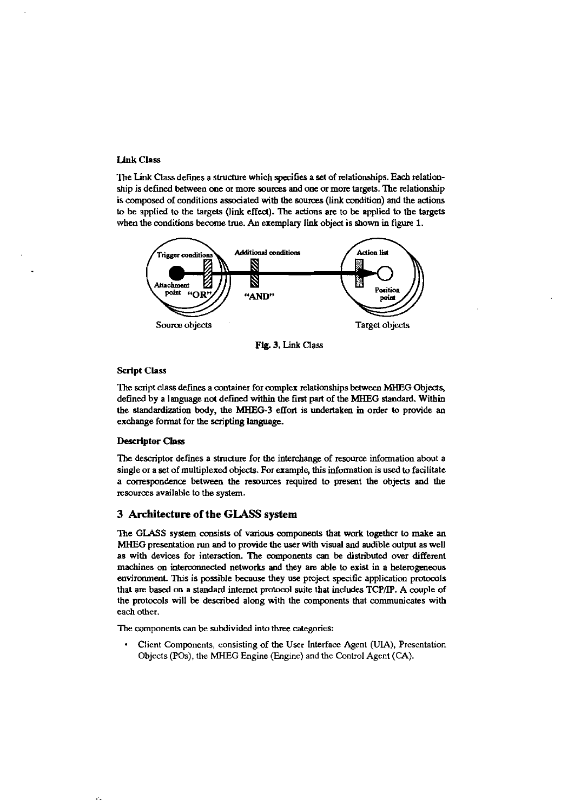#### **Link Class**

The Link Class defines a structure which specifies a set of relationships. Each relationship is defined between one or more sources and one or more targets. The relationship is composed of conditions associated with the sources (link condition) and the actions **to** be applied **to** the targets (link effea). The adions **are** to be applied **to** ihe targets when the conditions become true. An exemplary link object is shown in figure 1.



**Flg.** 3. Link Class

#### **Script Class**

The saipt class defines a wntainer for complex relationships between **MHEG** Objedg defined by a language not defmed within ihe first part of ihe MHEG standard. Within the standardization body, the MHEG-3 effort is undertaken in order to provide an excbange format for ihe **scripting** language.

# **Descriptor Class**

 $\mathcal{L}_{\mathbf{z}}$ 

Tbe descriptor defines a strudure for **the** intercbange of resource information about a single or a set of multiplexed objecis. For erample, this information is used **to** faalitate a wrrespondence between ihe resources required to preseat ihe objects and ihe resources available **to** ihe system.

# **3 Architecture of the GUSS system**

The GLASS system consists of various wmponents ihat work togeiher **to** make an MHEG presentation **run and** to provide the user with visual and audible output as well as wich devices for interadion. The annponents **can** be distributed over different machines on interconnected networks and they are able to exist in a heterogeneous environment. This is possible because they use project specific application protocols that are based on a standard internet protocol suite that includes TCP/IP. A couple of the protocols will be described along with the components that communicates with each other.

The components can be subdivided into three categories:

• Client Components, consisting of the User Interface Agent (UIA), Presentation Objecis (Pos). tlie MHEG Engine (Enginc) and tbe Control Agent (CA).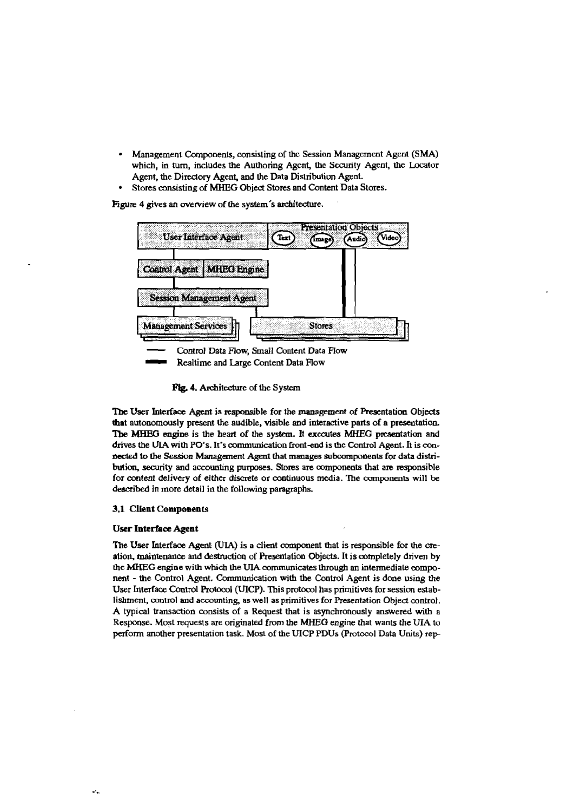- Management Components, consisting of the Session Management Agent (SMA)  $\bullet$ which, in turn, includes the Authoring Agent, the Security Agent, the Locator Agent, the Directory Agent, and the Data Distribution Agent.
- Stores consisting of MHEG Object Stores and Content Data Stores.

Figure 4 gives an overview of the system's architecture.



Fig. 4. Architecture of the System

The User Interface Agent is responsible for the management of Presentation Objects that autonomously present the audible, visible and interactive parts of a presentation. The MHEG engine is the heart of the system. It executes MHEG presentation and drives the UIA with PO's. It's communication front-end is the Control Agent. It is connected to the Session Management Agent that manages subcomponents for data distribution, security and accounting purposes. Stores are components that are responsible for content delivery of either discrete or continuous media. The components will be described in more detail in the following paragraphs.

# 3.1 Client Components

#### **User Interface Agent**

The User Interface Agent (UIA) is a client component that is responsible for the creation, maintenance and destruction of Presentation Objects. It is completely driven by the MHEG engine with which the UIA communicates through an intermediate component - the Control Agent. Communication with the Control Agent is done using the User Interface Control Protocol (UICP). This protocol has primitives for session establishment, control and accounting, as well as primitives for Presentation Object control. A typical transaction consists of a Request that is asynchronously answered with a Response. Most requests are originated from the MHEG engine that wants the UIA to perform another presentation task. Most of the UICP PDUs (Protocol Data Units) rep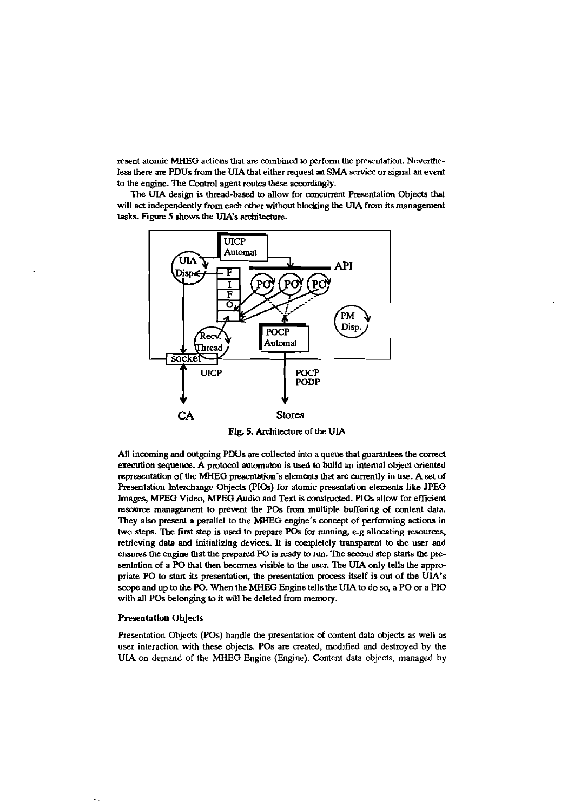resent atomic MHEG actions that are combined to perform the presentation. Nevertheless there are PDUs from the UIA that either request an SMA service or signal an event **to** the engine. The Control agent routes ihese accvrdingly.

The UIA design is thread-based to allow for concurrent Presentation Objects that will act independently from each other without blocking the UIA from its management tasks. Figure 5 shows the UIA's architecture.



Fig. **5.** Architedure of the **UIA** 

All incoming and outgoing PDUs are collected into a queue that guarantees the correct execution **sequence. A** pmtowl automaton is **used io** build an intemal objed oriented representation of tbe MHEG preseniation's elements ihat **are** currenily in use. **A** set of Presentation Interchange Objects (PIOs) for atomic presentation elements like JPEG Images, MPEG Video, MPEG Audio and Text is constructed. PIOs allow for efficient resource management to prevent the POs from multiple buffering of content data. They **also** presenl a parallel to ihe **MHEG** engine's omapt of **perfonning** adions in two steps. The first step is used to prepare POs for running, e.g allocating resources, retrieving data and initializing devices. It is completely transparent to the user and ensures the engine that the prepared PO is ready to run. The second step starts the presentation of a PO that then becomes visible to the user. The UIA only tells the appropriate PO to start its presentation, the presentation process itself is out of the UIA's **swpe** and up to ihe PO. When the **MHEG** Engine tells the **UIA io** do **so,** a PO or a PI0 with all POS belonging **io** it will be deleted from memory.

#### **Presentation Objects**

Presentation Ohjects (POS) handle ihe presentation of content data objects as well as user interaction with these objects. POs are created, modified and destroyed by the **UIA** on demand of ihe MHEG Engine (Engine). Content data objects, managed by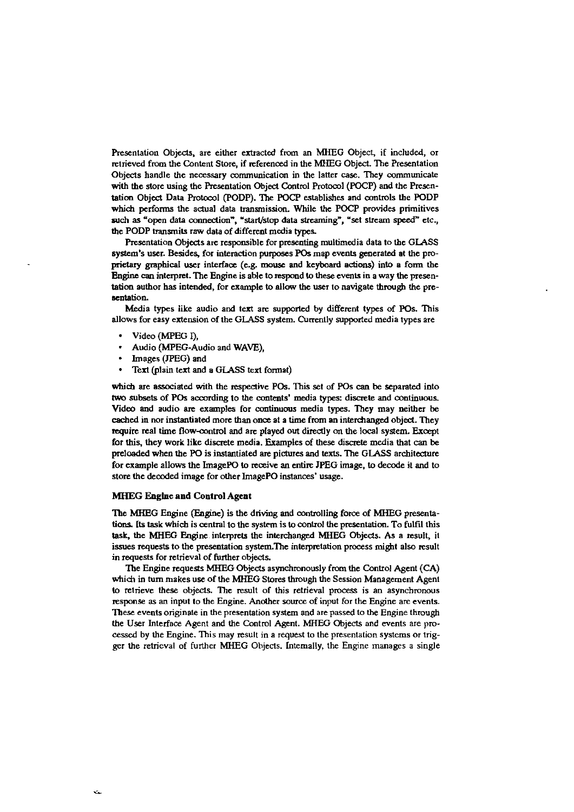Presentation Objects, are either extracted from an MHEG Object, if included, or retrieved from the Content Store, if referenced in the MHEG Object. The Presentation Objects handle the necessary communication in the latter case. They communicate with the store using the Presentation Object Control Protocol (POCP) and the Presentation Object Data Protocol (PODP). The POCP establishes and controls the PODP which performs the actual data transmission. While the POCP provides primitives such as "open data connection", "start/stop data streaming", "set stream speed" etc., the PODP transmits raw data of different media types.

Presentation Objects are responsible for presenting multimedia data to the GLASS system's user. Besides, for interaction purposes POs map events generated at the proprietary graphical user interface (e.g. mouse and keyboard actions) into a form the Engine can interpret. The Engine is able to respond to these events in a way the presentation author has intended, for example to allow the user to navigate through the presentation.

Media types like audio and text are supported by different types of POs. This allows for easy extension of the GLASS system. Currently supported media types are

- Video (MPEG I),
- Audio (MPEG-Audio and WAVE),
- Images (JPEG) and
- Text (plain text and a GLASS text format)

which are associated with the respective POs. This set of POs can be separated into two subsets of POs according to the contents' media types: discrete and continuous. Video and audio are examples for continuous media types. They may neither be cached in nor instantiated more than once at a time from an interchanged object. They require real time flow-control and are played out directly on the local system. Except for this, they work like discrete media. Examples of these discrete media that can be preloaded when the PO is instantiated are pictures and texts. The GLASS architecture for example allows the ImagePO to receive an entire JPEG image, to decode it and to store the decoded image for other ImagePO instances' usage.

# **MHEG Engine and Control Agent**

The MHEG Engine (Engine) is the driving and controlling force of MHEG presentations. Its task which is central to the system is to control the presentation. To fulfil this task, the MHEG Engine interprets the interchanged MHEG Objects. As a result, it issues requests to the presentation system. The interpretation process might also result in requests for retrieval of further objects.

The Engine requests MHEG Objects asynchronously from the Control Agent (CA) which in turn makes use of the MHEG Stores through the Session Management Agent to retrieve these objects. The result of this retrieval process is an asynchronous response as an input to the Engine. Another source of input for the Engine are events. These events originate in the presentation system and are passed to the Engine through the User Interface Agent and the Control Agent. MHEG Objects and events are processed by the Engine. This may result in a request to the presentation systems or trigger the retrieval of further MHEG Objects. Internally, the Engine manages a single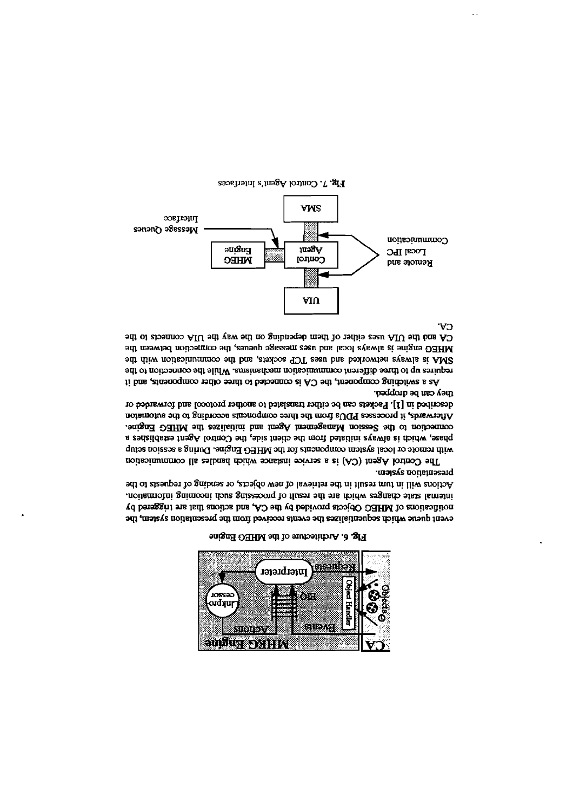

Fig. 6. Architecture of the MHEG Engine

huang a comprem-Actions will in turn result in the retrieval of new objects, or sending of requests to the internal state changes which are the result of processing such incoming information. noufications of MHEG Objects provided by the CA, and actions that are insgered by event queue which sequentializes the events received from the presentation system, the

they can be dropped. described in [1]. Packets can be either translated to another protocol and forwarded or Afterwards, it processes PDUs from the three components according to the automaton connection to the Session Management Agent and initializes the MHEG Engine. phase, which is always initiated from the client side, the Control Agent establishes a with remote or local system components for the MHEG Engine. During a session setup The Control negent (CA) is a service instance which handles all communication

CA. CA and the UIA uses either of them depending on the way the UIA connects to the MHEG engine is always local and uses message queues, the connection between the SMA is always networked and uses TCP sockets, and the communication with the requires up to three different communication mechanisms. While the connection to the As a switching component, the CA is connected to their obther components, and it



Fig. 7. Control Agent's Interfaces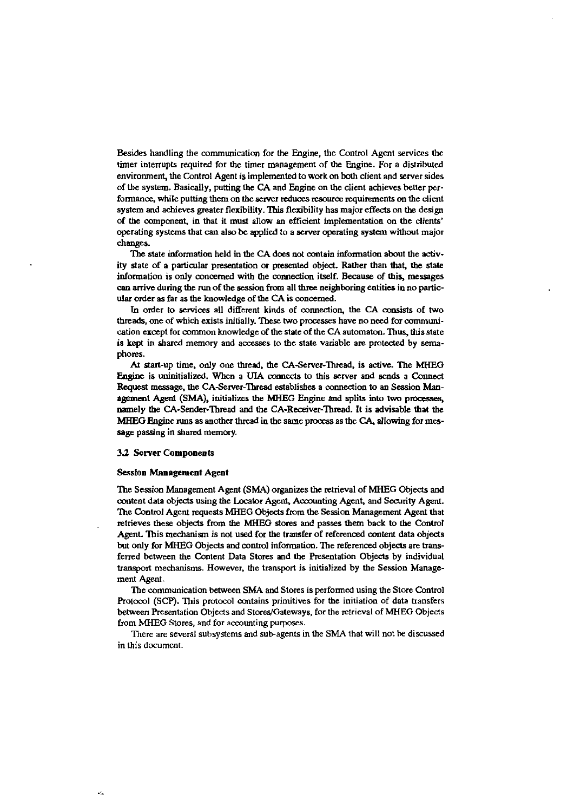Besides handling the communication for the Engine, the Control Agent services the timer interrupts required for the timer management of the Engine. For a distributed environment, the Control Agent is implemented to work on both client and server sides of the system. Basically, putting the CA and Engine on the client achieves better performance, while putting them on the server reduces resource requirements on the client system and achieves greater flexibility. This flexibility has major effects on the design of the component, in that it must allow an efficient implementation on the clients' operating systems that can also be applied to a server operating system without major changes.

The state information held in the CA does not contain information about the activity state of a particular presentation or presented object. Rather than that, the state information is only concerned with the connection itself. Because of this, messages can arrive during the run of the session from all three neighboring entities in no particular order as far as the knowledge of the CA is concerned.

In order to services all different kinds of connection, the CA consists of two threads, one of which exists initially. These two processes have no need for communication except for common knowledge of the state of the CA automaton. Thus, this state is kept in shared memory and accesses to the state variable are protected by semaphores.

At start-up time, only one thread, the CA-Server-Thread, is active. The MHEG Engine is uninitialized. When a UIA connects to this server and sends a Connect Request message, the CA-Server-Thread establishes a connection to an Session Management Agent (SMA), initializes the MHEG Engine and splits into two processes, namely the CA-Sender-Thread and the CA-Receiver-Thread. It is advisable that the MHEG Engine runs as another thread in the same process as the CA, allowing for message passing in shared memory.

#### 3.2 Server Components

#### **Session Management Agent**

The Session Management Agent (SMA) organizes the retrieval of MHEG Objects and content data objects using the Locator Agent, Accounting Agent, and Security Agent. The Control Agent requests MHEG Objects from the Session Management Agent that retrieves these objects from the MHEG stores and passes them back to the Control Agent. This mechanism is not used for the transfer of referenced content data objects but only for MHEG Objects and control information. The referenced objects are transferred between the Content Data Stores and the Presentation Objects by individual transport mechanisms. However, the transport is initialized by the Session Management Agent.

The communication between SMA and Stores is performed using the Store Control Protocol (SCP). This protocol contains primitives for the initiation of data transfers between Presentation Objects and Stores/Gateways, for the retrieval of MHEG Objects from MHEG Stores, and for accounting purposes.

There are several subsystems and sub-agents in the SMA that will not be discussed in this document.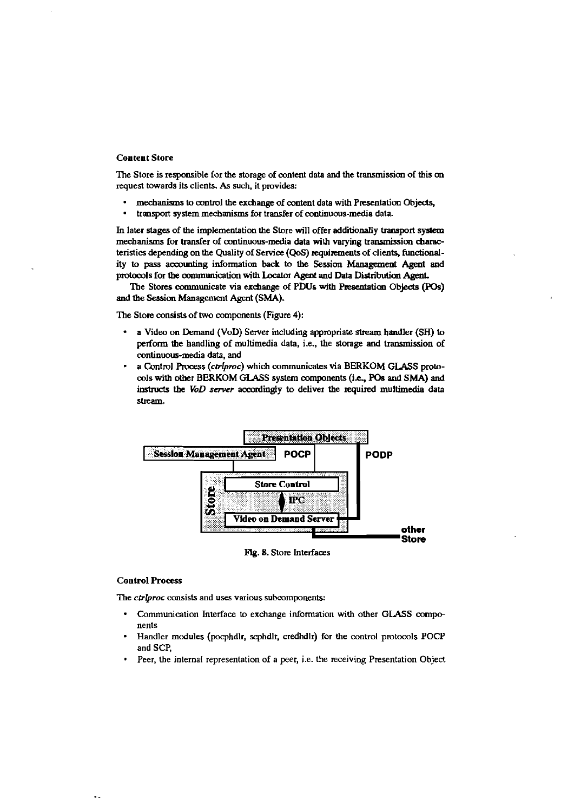#### **Content Store**

The Store is responsible for the storage of content data and the transmission of this on request towards its clients. As such, it provides:

- mechanisms to control the exchange of content data with Presentation Objects,
- transport system mechanisms for transfer of continuous-media data.

In later stages of the implementation the Store will offer additionally transport system mechanisms for transfer of continuous-media data with varying transmission characteristics depending on the Quality of Service (QoS) requirements of clients, functionality to pass accounting information back to the Session Management Agent and protocols for the communication with Locator Agent and Data Distribution Agent.

The Stores communicate via exchange of PDUs with Presentation Objects (POs) and the Session Management Agent (SMA).

The Store consists of two components (Figure 4):

- a Video on Demand (VoD) Server including appropriate stream handler (SH) to perform the handling of multimedia data, i.e., the storage and transmission of continuous-media data, and
- a Control Process (ctrlproc) which communicates via BERKOM GLASS protocols with other BERKOM GLASS system components (i.e., POs and SMA) and instructs the VoD server accordingly to deliver the required multimedia data stream.



Fig. 8. Store Interfaces

#### **Control Process**

The ctrlproc consists and uses various subcomponents:

- $\bullet$ Communication Interface to exchange information with other GLASS components
- Handler modules (pocphdlr, scphdlr, credhdlr) for the control protocols POCP and SCP.
- Peer, the internal representation of a peer, i.e. the receiving Presentation Object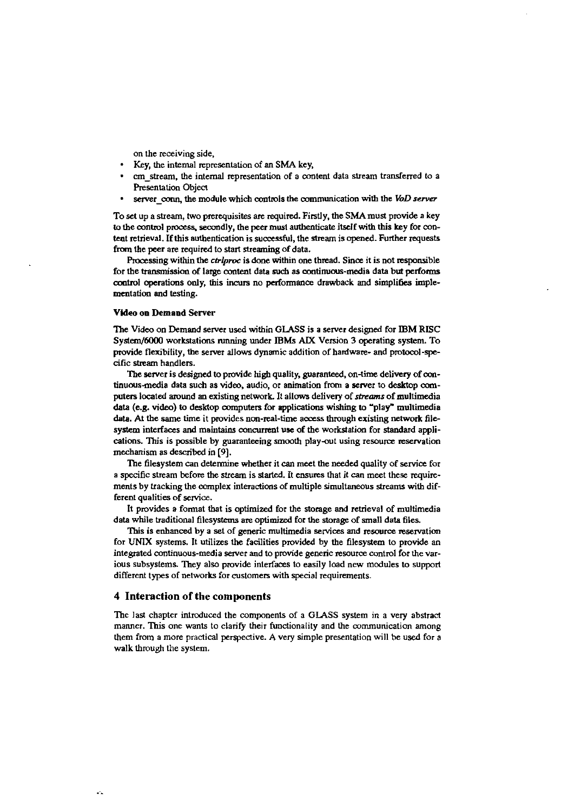on the receiving side,

- Key, the internal representation of an SMA key,
- cm-stream, the internal representation of a content data stream transferred to a Resentation Object
- server-coun, the module which controls the communication with the *VoD server*

To set up a stream, two prerequisites are required. Firstly, the SMA must provide a key to the control process, secondly, the peer must authenticate itself with this key for content retrieval. If this authentication is successful, the stream is opened. Further requests from the peer are required to start streaming of data.

Processing within the *ctribroc* is done within one thread. Since it is not responsible for the transmission of large content data such as continuous-media data but performs control operations only, this incurs no performance drawback and simplifies implementation and testing.

#### **VMeo** on Demand Server

The Video on Demand server used within GLASS is a server designed for IBM RISC System/6000 workstations running under IBMs ALX Version 3 operating system. To provide flexibility, the server allows dynamic addition of hardware- and protocol-specific stream handlers.

The server is designed to provide high quality, guaranteed, on-time delivery of continuous-media data such as video, audio, or animation from a server to desktop computers located around an existing network. It allows delivery of streams of multimedia data (e.g. video) to desktop computers for applications wishing to "play" multimedia data. At the same time it provides non-real-time access through existing network filesystem interfaces and maintains concurrent use of the workstation for standard applications. This is possible by guaranteeing smooth play-out using resource reservation mechanism as described in **[9].** 

The filesystem can determine whether it can meet the needed quality of service for a specific stream before the stream is **started.** It ensures that il **can** meet these requirements by tracking the complex interactions of multiple simultaneous **streams** with diE ferent qualities of service.

It provides a format that is optimized for the storage and retrieval of multimedia data while traditional filesystems are optimized for the storage of small data files.

This is enhanced by a set of generic multimedia services and resource reservation for UNIX systems. It utilizes the facilities provided by the filesystem to provide an integrated continuous-media server and to provide generic resource control for the various subsystems. They also provide interfaces to easily load new modules to support different types of networks for customers with special requirements.

# **4 Interaction of the components**

The last chapter introduced the components of a GLASS system in a very abstrad manner. This one wants to clarify their functionality and the communication among them from a more practical perspective. A very simple presentation will be used for a walk through the system.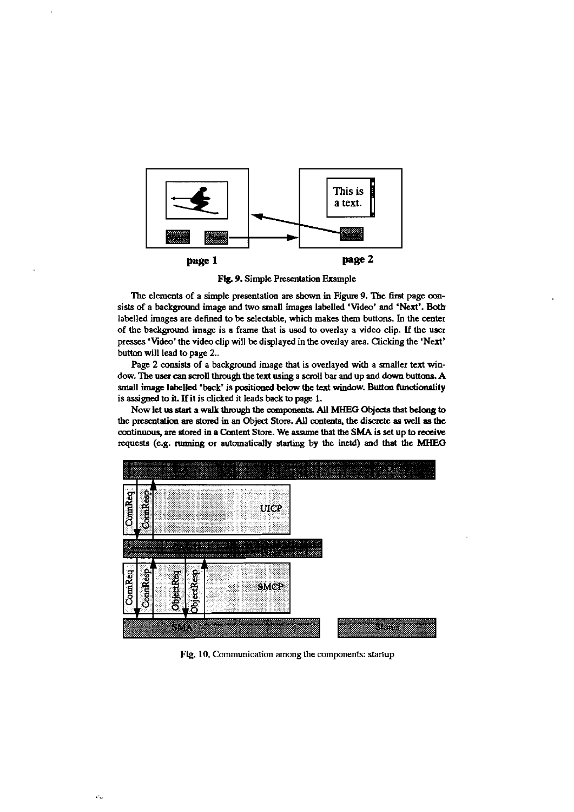

9. Simple Presentation Example

The elements of a simple presentation are shown in Figure 9. The first page consists of a background image and two small images labelled 'Video' and 'Next'. Both labelled images are defined to be selectable, which makes them buttons. In the center of the background image is a frame that is used to overlay a video clip. **if** the user presses 'Video' the video clip will be displayed in the overlay area. Clicking the 'Next' button will lead to page 2..

Page 2 consists of a background image that is overlayed with a smaller text window. The user can scroll through the text using a scroll bar and up and down buttons. A small image labelled 'back' is positioned below the text window. Button functionality is assigned to it. If it is clicked it leads back to page 1.

Now let **us staa** a **wdk** through **the onnpomnb** All **MHEG** Objeds that **belaig to**  the presentation are stored in an Object Store. All contents, the discrete as well as the continuous, are stored in a Content Store. We assume that the SMA is set up to receive requests (e.g. running or automatically starting by the inetd) and that the MHEG



Flg. 10. Communication among the components: startup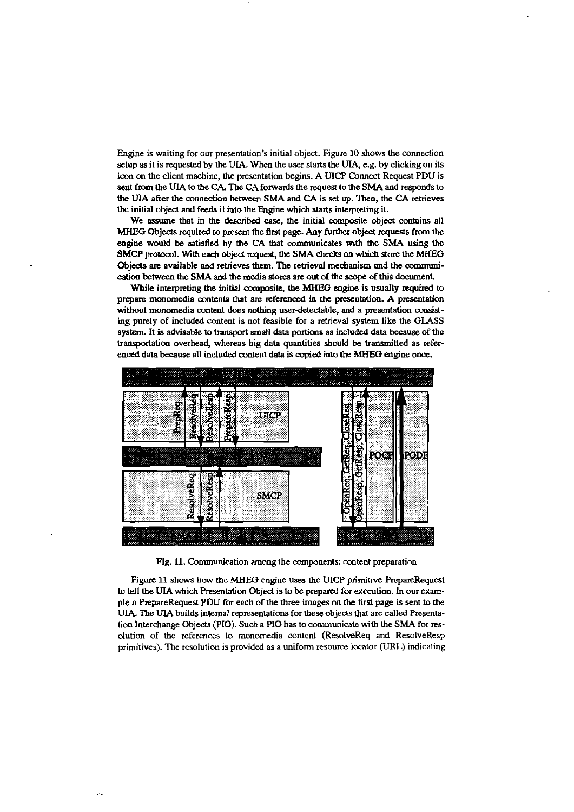Engine is waiting for our presentation's initial object. Figure 10 shows the connection setup as it is requested by the UIA. When the user starts the UIA, e.g. by clicking on its icon on the client machine, the presentation begins. A UICP Connect Request PDU is sent fmm ihe **UIA** to tbe CA The CA forwards the request to the **SMA** and responds to **the UIA** after the connection between **SMA** and CA is set up. Then, the CA retrieves the initial object and feeds it into the Engine which starts interpreting it.

We assume that in the described case, the initial composite object contains all **MHEG** Objeds required **to** present the firnt page. Any further objed requests from the engine would be satisfied by the CA that communicates with the SMA using the **SMCP** protocol. With each objeci request, **tbe ShiA chccks an** which store the **MHEG**  Objects are available and retrieves them. The retrieval mechanism and the communi**caüan** *beiween* the **SM** and the media stores arr out of the **scope** of this daaunent.

While interpreting the initial composite, the MHEG engine is usually required to prepare monomedia contents that are referenced in the presentation. A presentation without monomedia content does nothing user-detectable, and a presentation consisting purely of included content is not feasible for a retrieval system like the GLASS system. It is advisable to transport small data portions as included data because of the transportation overhead, whereas big data quantities should be transmitted as referenced data because all included content data is copied into the **MHEG** engine once.



Flg. 11. Communication among the components: content preparation

Figure 11 shows how the MHEG engine uses the **UICP** primitive RepareRequest to tell the **UIA** which F'resentation Objed is to **be** prepamd for execution. **In** out example a PrepareRequest PDU €01 each of the **three** irnages on the first page is sent **to** the UIA. The UIA builds intemal representations for these objects that are called Presentation Interchange Objects (PIO). Such a PIO has to communicate with the SMA for resolution of the references to monomedia content (ResolveReq and ResolveResp primitives). The resolution is provided as a uniform resource locator (URL) indicating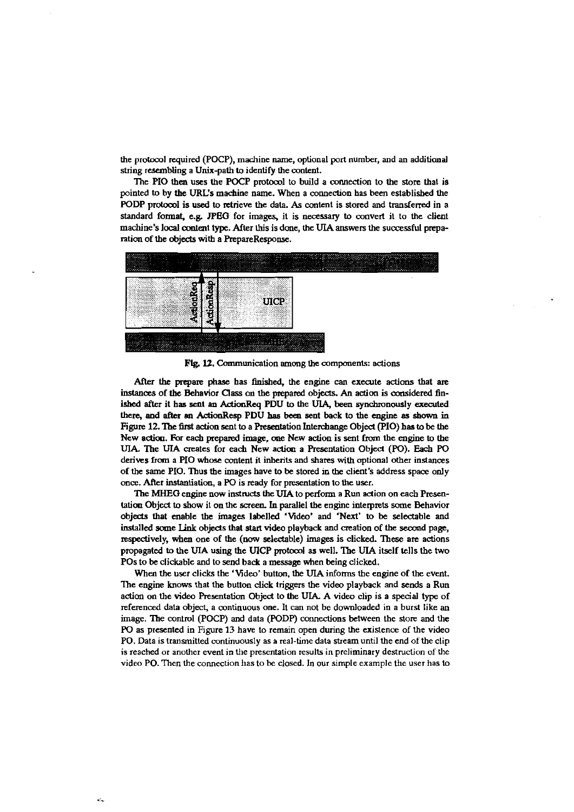the protocol required (POCP), machine name, optional port number, and an additional string resembling a Unix-path to identify the content.

The PIO then uses the POCP protocol to build a connection to the store that is pointed to by the URL's machine name. When a connection has been established the PODP protocol is used to retrieve the data. As content is stored and transferred in a standard format, e.g. JPEG for images, it is necessary to convert it to the client machine's local content type. After this is done, the UIA answers the successful preparation of the objects with a PrepareResponse.



Fig. 12. Communication among the components: actions

After the prepare phase has finished, the engine can execute actions that are instances of the Behavior Class on the prepared objects. An action is considered finished after it has sent an ActionReq PDU to the UIA, been synchronously executed there, and after an ActionResp PDU has been sent back to the engine as shown in Figure 12. The first action sent to a Presentation Interchange Object (PIO) has to be the New action. For each prepared image, one New action is sent from the engine to the UIA. The UIA creates for each New action a Presentation Object (PO). Each PO derives from a PIO whose content it inherits and shares with optional other instances of the same PIO. Thus the images have to be stored in the client's address space only once. After instantiation, a PO is ready for presentation to the user.

The MHEG engine now instructs the UIA to perform a Run action on each Presentation Object to show it on the screen. In parallel the engine interprets some Behavior objects that enable the images labelled 'Video' and 'Next' to be selectable and installed some Link objects that start video playback and creation of the second page, respectively, when one of the (now selectable) images is clicked. These are actions propagated to the UIA using the UICP protocol as well. The UIA itself tells the two POs to be clickable and to send back a message when being clicked.

When the user clicks the 'Video' button, the UIA informs the engine of the event. The engine knows that the button click triggers the video playback and sends a Run action on the video Presentation Object to the UIA. A video clip is a special type of referenced data object, a continuous one. It can not be downloaded in a burst like an image. The control (POCP) and data (PODP) connections between the store and the PO as presented in Figure 13 have to remain open during the existence of the video PO. Data is transmitted continuously as a real-time data stream until the end of the clip is reached or another event in the presentation results in preliminary destruction of the video PO. Then the connection has to be closed. In our simple example the user has to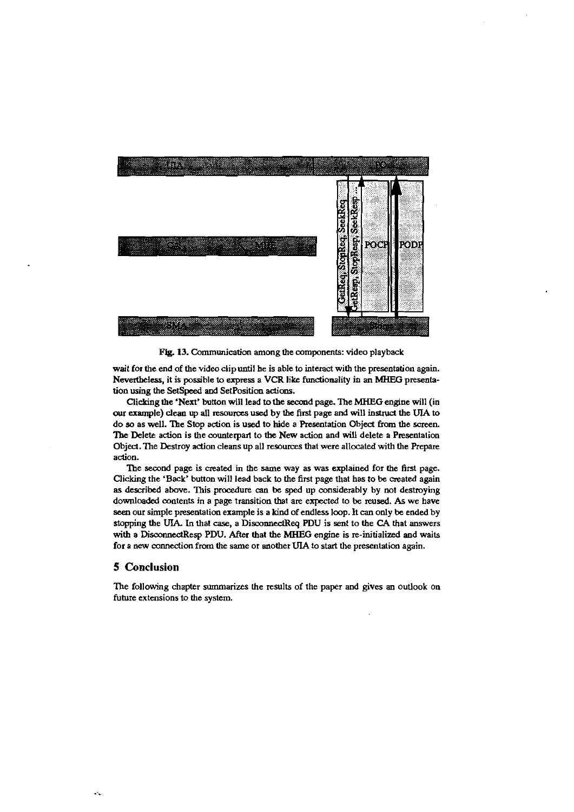

Fig. 13. Communication among the components: video playback

wait for the end of the video clip until he is able **to** interact with the presentation again. Nevertheless, it is possible **to** express a VCR like fundonality in an MHEG presentation using the SetSpeed and SetPosition actions.

Clicking the 'Next' button will lead **io** the second page. The MHEG engine will (in our example) clean up all resources used by the first page and will instruct the UIA to do so as well. The Stop action is used to hide a Presentation Object from the screen. The Delete action is the counterpart to the New action and will delete a Presentation Object. The Destroy action cleans up all resources that were allocated with the Prepare action.

The second page is created in the same way as was explained for the first page. Clicking the 'Back' button will lead back **to** the fint page that has tobe created again as described above. This procedure can be sped up considerably by not destroying downloaded contents in a page transition that are expected to be reused. As we have sea our simple presentation example is a kind of endles loop. It **can** only be ended by stopping the UIA. In that **case,** a DisconnedReq PDU is sent to the CA lhat answers with a DisconnectResp PDU. After that the MHEG engine is re-initialized and waits for a new connection from the same or another UIA to start the presentation again.

# **5 Conclusion**

The following chapter summarizes lhe results of the paper and gives an outiook on future extensions to the system.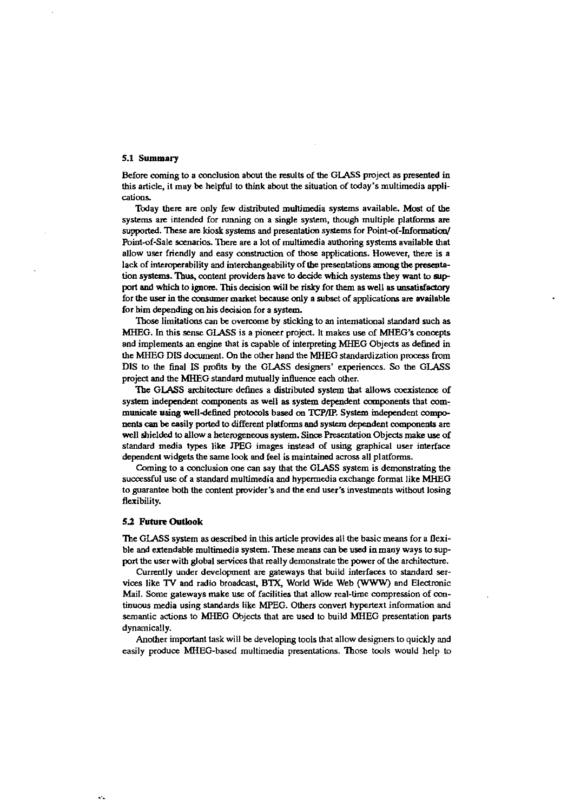### 5.1 Summary

Before coming to a conclusion about the results of the GLASS project as presented in this article, it may be helpful **to** think about the situation of today's multimedia applications.

Today there are only few distributed multimedia systems available. Most of the systems are intended for tunning on a single system, though multiple platfoms **are**  supported. These are kiosk systems and presentation systems for Point-of-Information/ Point-of-Sale scenarios. 'Ihere are a lot of multimedia auihoring systems available that allow user friendly and easy construction of those applications. However, there is a lack of interoperability and interchangeability of the presentations among the presentation systems. Thus, content providers have to decide which systems they want to support and which to ignore. This decision will be risky for them as well as unsatisfactory for ihe **user** in **the** owsumer market **because** only a subset of applications are available for him depending **on** bis decision for a system.

'Ihose limitations **can be** oveme by sticking to an international standard such as MHEG. In this sense GLASS is a pioneer project. It makes use of MHEG's concepts and implements an engine that is capable of interpreting MHEG Objects as defined in the MHEG DIS document. On the other hand the MHEG standardization process from DIS to the final IS profits by the GLASS designers' experiences. So the GLASS project and the MHEG standard mutually influence each other.

The GLASS architecture defines a distributed system that allows coexistence of system independent components as well as system dependent components that communicate using well-defined protocols based on TCP/IP. System independent components **can** be easily ported **to** different platfoms **aud** system dependent mmponents are well shielded to allow a heterogeneous system. Since Presentation Objects make use of standard media types like JPEG images instead of using graphical user interface dependent widgets the same look and feel is maintained across all platforms.

Coming to a conclusion one can say that the GLASS system is demonstrating the successful use of a standard multimedia and hypermedia exchange format like MHEG to guarantee both the content provider's and thc end user's investments without losing flexibility.

#### **52 Fuiure Outlook**

The GLASS system as described in this article provides all the basic means for a flexible and extendable multimedia system. These means **can** be uxd in many ways **to** support the user with global services that really demonstrate the power of the architecture.

Currently under development are gateways that build interfaces to standard services like TV and radio broadcast, BTX, World Wide Web (WWW) and Electronic Mail. Some gateways make use of facilities that allow real-time compression of continuous media using standards like MPEG. Others convert hypertext information and semantic actions to MHEG Objects that are used to build MHEG presentation parts dynamically.

Another important task will **be** developing tools ihat allow designers to quickly and easily produce MHEG-based multimedia presentations. Those tools would help to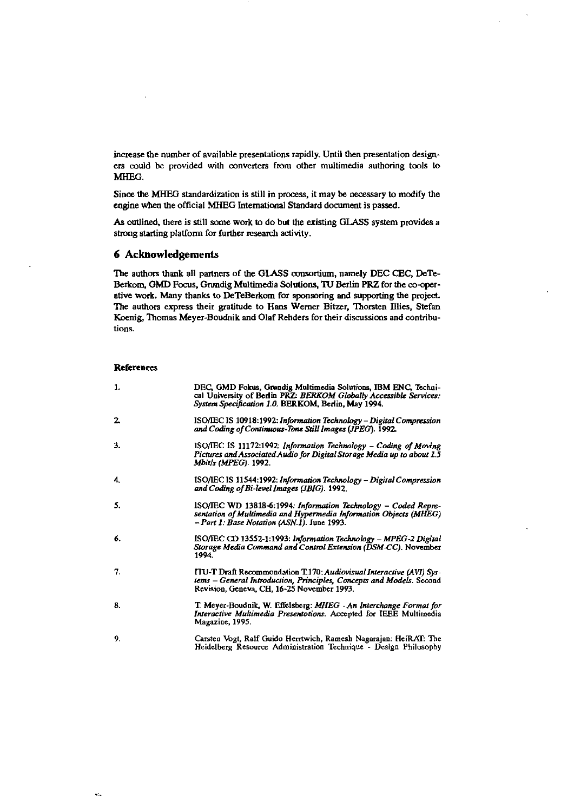increase the number of available presentations rapidly. Until then presentation designers could be provided with converters from other multimedia authoring tools to MHEG.

Since the MHEG standardization is still in process, it may be necessary to modify the engine when the official MHEG International Standard document is passed.

As outlined, there is still some work to do but the existing GLASS system provides a strong starting platform for further research activity.

# **6 Acknowledgements**

The authors thank all partners of the GLASS consortium, namely DEC CEC, DeTe-Berkom, GMD Focus, Grundig Multimedia Solutions, TU Berlin PRZ for the co-operative work. Many thanks to DeTeBerkom for sponsoring and supporting the project. The authors express their gratitude to Hans Werner Bitzer, Thorsten Illies, Stefan Koenig, Thomas Meyer-Boudnik and Olaf Rehders for their discussions and contributions.

#### **References**

| 1. | DEC, GMD Fokus, Grundig Multimedia Solutions, IBM ENC, Techni-<br>cal University of Berlin PRZ: BERKOM Globally Accessible Services:<br>System Specification 1.0. BERKOM, Berlin, May 1994. |
|----|---------------------------------------------------------------------------------------------------------------------------------------------------------------------------------------------|
| 2. | ISO/IEC IS 10918:1992: Information Technology – Digital Compression<br>and Coding of Continuous-Tone Still Images (JPEG). 1992.                                                             |
| 3. | ISO/IEC IS 11172:1992: Information Technology - Coding of Moving<br>Pictures and Associated Audio for Digital Storage Media up to about 1.5<br><b>Mbit/s (MPEG). 1992.</b>                  |
| 4. | ISO/IEC IS 11544:1992: Information Technology – Digital Compression<br>and Coding of Bi-level Images (JBIG). 1992.                                                                          |
| 5. | ISO/IEC WD 13818-6:1994: Information Technology – Coded Repre-<br>sentation of Multimedia and Hypermedia Information Objects (MHEG)<br>- Part 1: Base Notation (ASN.1). June 1993.          |
| 6. | ISO/IEC CD 13552-1:1993: Information Technology - MPEG-2 Digital<br>Storage Media Command and Control Extension (DSM-CC). November<br>1994                                                  |
| 7. | ITU-T Draft Recommondation T.170; Audiovisual Interactive (AVI) Sys-<br>tems – General Introduction, Principles, Concepts and Models. Second<br>Revision, Geneva, CH, 16-25 November 1993.  |
| 8. | T. Meyer-Boudnik, W. Effelsberg: MHEG - An Interchange Format for<br>Interactive Multimedia Presentotions. Accepted for IEEE Multimedia<br>Magazine, 1995.                                  |
| 9. | Carsten Vogt, Ralf Guido Herrtwich, Ramesh Nagarajan: HeiRAT: The<br>Heidelberg Resource Administration Technique - Design Philosophy                                                       |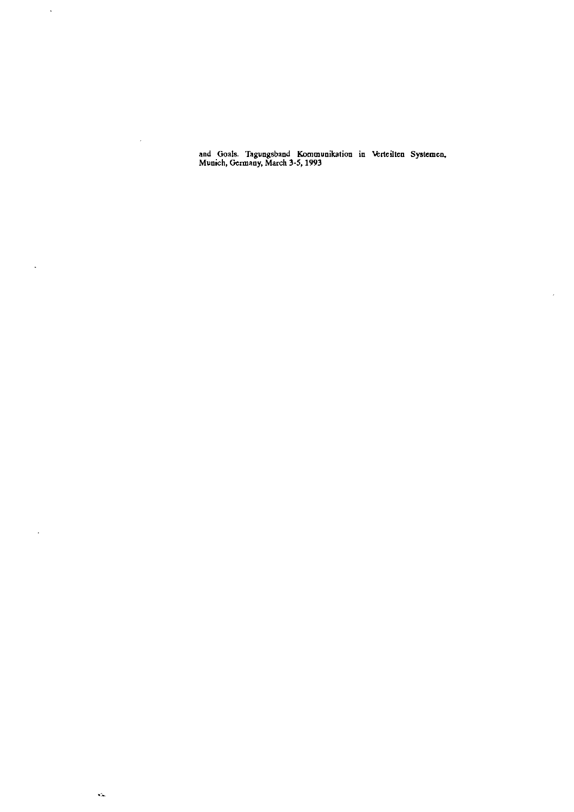and Goals. Tagungsband Kommunikation in Verteilten Systemen, **Munich, Gcrmany, March 3-5, 1993** 

 $\overline{\phantom{a}}$ 

 $\bar{\mathcal{L}}$ 

 $\bar{\mathcal{A}}$ 

 $\sim$ 

 $\bar{\beta}$